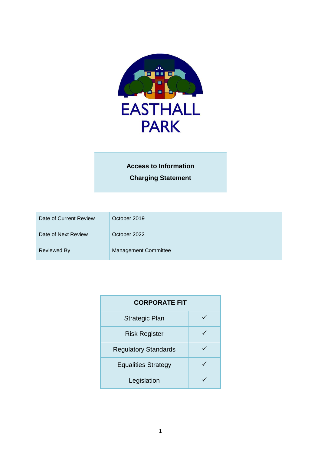

# **Access to Information Charging Statement**

| Date of Current Review | October 2019                |
|------------------------|-----------------------------|
| Date of Next Review    | October 2022                |
| <b>Reviewed By</b>     | <b>Management Committee</b> |

| <b>CORPORATE FIT</b>        |  |  |
|-----------------------------|--|--|
| <b>Strategic Plan</b>       |  |  |
| <b>Risk Register</b>        |  |  |
| <b>Regulatory Standards</b> |  |  |
| <b>Equalities Strategy</b>  |  |  |
| Legislation                 |  |  |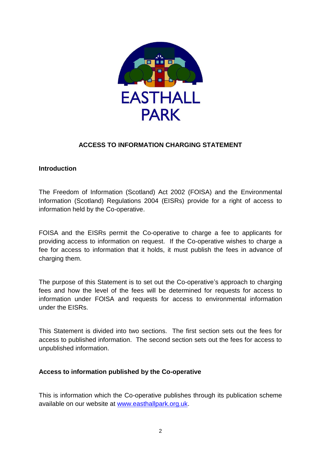

## **ACCESS TO INFORMATION CHARGING STATEMENT**

#### **Introduction**

The Freedom of Information (Scotland) Act 2002 (FOISA) and the Environmental Information (Scotland) Regulations 2004 (EISRs) provide for a right of access to information held by the Co-operative.

FOISA and the EISRs permit the Co-operative to charge a fee to applicants for providing access to information on request. If the Co-operative wishes to charge a fee for access to information that it holds, it must publish the fees in advance of charging them.

The purpose of this Statement is to set out the Co-operative's approach to charging fees and how the level of the fees will be determined for requests for access to information under FOISA and requests for access to environmental information under the EISRs.

This Statement is divided into two sections. The first section sets out the fees for access to published information. The second section sets out the fees for access to unpublished information.

#### **Access to information published by the Co-operative**

This is information which the Co-operative publishes through its publication scheme available on our website at [www.easthallpark.org.uk.](http://www.easthallpark.org.uk/)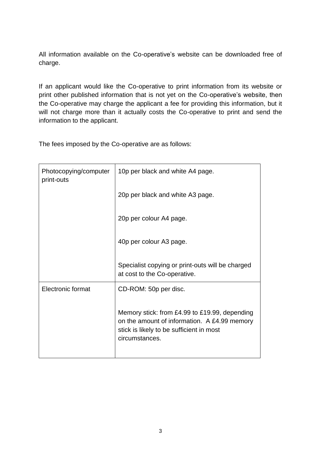All information available on the Co-operative's website can be downloaded free of charge.

If an applicant would like the Co-operative to print information from its website or print other published information that is not yet on the Co-operative's website, then the Co-operative may charge the applicant a fee for providing this information, but it will not charge more than it actually costs the Co-operative to print and send the information to the applicant.

The fees imposed by the Co-operative are as follows:

| Photocopying/computer<br>print-outs | 10p per black and white A4 page.                                                                                                                            |
|-------------------------------------|-------------------------------------------------------------------------------------------------------------------------------------------------------------|
|                                     | 20p per black and white A3 page.                                                                                                                            |
|                                     | 20p per colour A4 page.                                                                                                                                     |
|                                     | 40p per colour A3 page.                                                                                                                                     |
|                                     | Specialist copying or print-outs will be charged<br>at cost to the Co-operative.                                                                            |
| Electronic format                   | CD-ROM: 50p per disc.                                                                                                                                       |
|                                     | Memory stick: from £4.99 to £19.99, depending<br>on the amount of information. A £4.99 memory<br>stick is likely to be sufficient in most<br>circumstances. |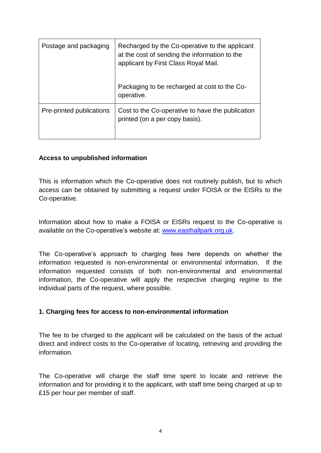| Postage and packaging    | Recharged by the Co-operative to the applicant<br>at the cost of sending the information to the<br>applicant by First Class Royal Mail. |
|--------------------------|-----------------------------------------------------------------------------------------------------------------------------------------|
|                          | Packaging to be recharged at cost to the Co-<br>operative.                                                                              |
| Pre-printed publications | Cost to the Co-operative to have the publication<br>printed (on a per copy basis).                                                      |

## **Access to unpublished information**

This is information which the Co-operative does not routinely publish, but to which access can be obtained by submitting a request under FOISA or the EISRs to the Co-operative.

Information about how to make a FOISA or EISRs request to the Co-operative is available on the Co-operative's website at: [www.easthallpark.org.uk.](http://www.easthallpark.org.uk/)

The Co-operative's approach to charging fees here depends on whether the information requested is non-environmental or environmental information. If the information requested consists of both non-environmental and environmental information, the Co-operative will apply the respective charging regime to the individual parts of the request, where possible.

## **1. Charging fees for access to non-environmental information**

The fee to be charged to the applicant will be calculated on the basis of the actual direct and indirect costs to the Co-operative of locating, retrieving and providing the information.

The Co-operative will charge the staff time spent to locate and retrieve the information and for providing it to the applicant, with staff time being charged at up to £15 per hour per member of staff.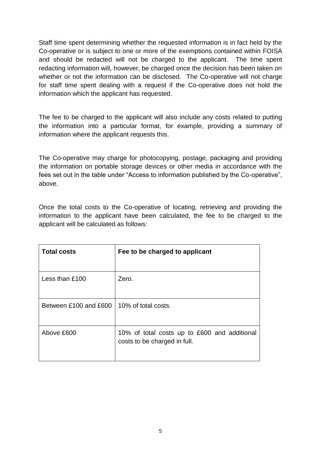Staff time spent determining whether the requested information is in fact held by the Co-operative or is subject to one or more of the exemptions contained within FOISA and should be redacted will not be charged to the applicant. The time spent redacting information will, however, be charged once the decision has been taken on whether or not the information can be disclosed. The Co-operative will not charge for staff time spent dealing with a request if the Co-operative does not hold the information which the applicant has requested.

The fee to be charged to the applicant will also include any costs related to putting the information into a particular format, for example, providing a summary of information where the applicant requests this.

The Co-operative may charge for photocopying, postage, packaging and providing the information on portable storage devices or other media in accordance with the fees set out in the table under "Access to information published by the Co-operative", above.

Once the total costs to the Co-operative of locating, retrieving and providing the information to the applicant have been calculated, the fee to be charged to the applicant will be calculated as follows:

| <b>Total costs</b>    | Fee to be charged to applicant                                               |
|-----------------------|------------------------------------------------------------------------------|
| Less than £100        | Zero.                                                                        |
| Between £100 and £600 | 10% of total costs.                                                          |
| Above £600            | 10% of total costs up to £600 and additional<br>costs to be charged in full. |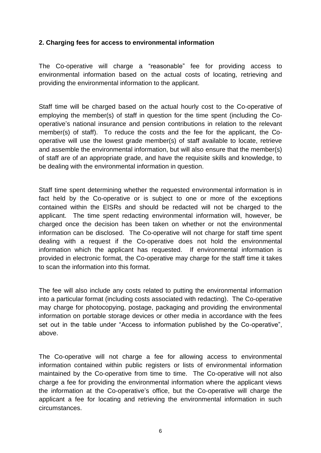#### **2. Charging fees for access to environmental information**

The Co-operative will charge a "reasonable" fee for providing access to environmental information based on the actual costs of locating, retrieving and providing the environmental information to the applicant.

Staff time will be charged based on the actual hourly cost to the Co-operative of employing the member(s) of staff in question for the time spent (including the Cooperative's national insurance and pension contributions in relation to the relevant member(s) of staff). To reduce the costs and the fee for the applicant, the Cooperative will use the lowest grade member(s) of staff available to locate, retrieve and assemble the environmental information, but will also ensure that the member(s) of staff are of an appropriate grade, and have the requisite skills and knowledge, to be dealing with the environmental information in question.

Staff time spent determining whether the requested environmental information is in fact held by the Co-operative or is subject to one or more of the exceptions contained within the EISRs and should be redacted will not be charged to the applicant. The time spent redacting environmental information will, however, be charged once the decision has been taken on whether or not the environmental information can be disclosed. The Co-operative will not charge for staff time spent dealing with a request if the Co-operative does not hold the environmental information which the applicant has requested. If environmental information is provided in electronic format, the Co-operative may charge for the staff time it takes to scan the information into this format.

The fee will also include any costs related to putting the environmental information into a particular format (including costs associated with redacting). The Co-operative may charge for photocopying, postage, packaging and providing the environmental information on portable storage devices or other media in accordance with the fees set out in the table under "Access to information published by the Co-operative", above.

The Co-operative will not charge a fee for allowing access to environmental information contained within public registers or lists of environmental information maintained by the Co-operative from time to time. The Co-operative will not also charge a fee for providing the environmental information where the applicant views the information at the Co-operative's office, but the Co-operative will charge the applicant a fee for locating and retrieving the environmental information in such circumstances.